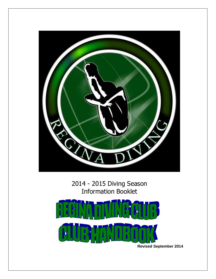

2014 - 2015 Diving Season Information Booklet



 **Revised September 2014**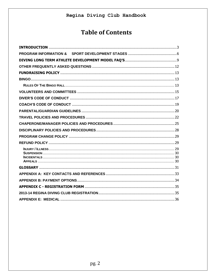# **Table of Contents**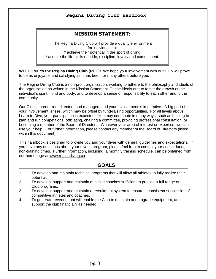# **MISSION STATEMENT:**

The Regina Diving Club will provide a quality environment for individuals to: \* achieve their potential in the sport of diving \* acquire the life-skills of pride, discipline, loyalty and commitment.

<span id="page-2-0"></span>**WELCOME to the Regina Diving Club (RDC)!** We hope your involvement with our Club will prove to be as enjoyable and satisfying as it has been for many others before you.

The Regina Diving Club is a non-profit organization, working to adhere to the philosophy and ideals of the organization as written in the Mission Statement. These ideals are: to foster the growth of the individual's spirit, mind and body, and to develop a sense of responsibility to each other and to the community.

Our Club is parent-run, directed, and managed, and your involvement is imperative. A big part of your involvement is fees, which may be offset by fund-raising opportunities. For all levels above Learn to Dive, your participation is expected. You may contribute in many ways, such as helping to plan and run competitions, officiating, chairing a committee, providing professional consultation, or becoming a member of the Board of Directors. Whatever your area of interest or expertise, we can use your help. For further information, please contact any member of the Board of Directors (listed within this document).

This handbook is designed to provide you and your diver with general guidelines and expectations. If you have any questions about your diver's program, please feel free to contact your coach during non-training times. Further information, including, a monthly training schedule, can be obtained from our homepage at [www.reginadiving.ca](http://www.reginadiving.ca/)

## **GOALS**

- 1. To develop and maintain technical programs that will allow all athletes to fully realize their potential.
- 2. To develop, support and maintain qualified coaches sufficient to provide a full range of Club programs.
- 3. To develop, support and maintain a recruitment system to ensure a consistent succession of competitive athletes and coaches.
- 4. To generate revenue that will enable the Club to maintain and upgrade equipment, and support the club financially as needed.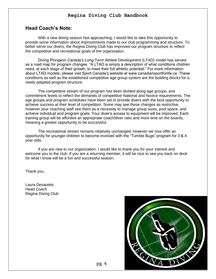## **Head Coach's Note:**

With a new diving season fast approaching, I would like to take this opportunity to provide some information about improvements made to our club programming and structure. To better serve our divers, the Regina Diving Club has improved our program structure to reflect the competitive and recreational goals of the organization.

Diving Plongeon Canada's Long-Term Athlete Development (LTAD) model has served as a road map for program changes. "A LTAD is simply a description of what conditions children need, at each stage of their growth, to meet their full athletic potential." For more information about LTAD models, please visit Sport Canada's website at www.canadiansportforlife.ca. These conditions as well as the established competitive age group system are the building blocks for a newly adapted program structure.

The competitive stream of our program has been divided along age groups, and commitment levels to reflect the demands of competitive National and Novice requirements. The age groups and program schedules have been set to provide divers with the best opportunity to achieve success at their level of competition. Some may see these changes as restrictive, however your coaching staff see them as a necessity to manage group sizes, pool space, and achieve individual and program goals. Your diver's access to equipment will be improved. Each training group will be afforded an appropriate coach/diver ratio and more time on the boards, meaning a greater opportunity to be successful.

The recreational stream remains relatively unchanged; however we now offer an opportunity for younger children to become involved with the "Tumble Bugs" program for 3 & 4 year olds.

If you are new to our organization, I would like to thank you for your interest and welcome you to the club. If you are a returning member, it will be nice to see you back on deck for what I know will be a fun and successful season.

Thank you,

Laura Desautels Head Coach Regina Diving Club

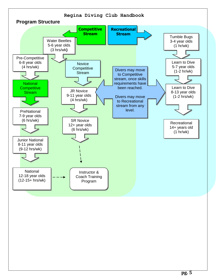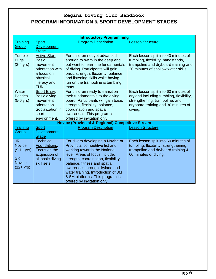# **Regina Diving Club Handbook PROGRAM INFORMATION & SPORT DEVELOPMENT STAGES**

<span id="page-5-0"></span>

|                      |                                  | <b>Introductory Programming</b>                                      |                                                                            |
|----------------------|----------------------------------|----------------------------------------------------------------------|----------------------------------------------------------------------------|
| <b>Training</b>      | <b>Sport</b>                     | <b>Program Description</b>                                           | <b>Lesson Structure</b>                                                    |
| <b>Group</b>         | <b>Development</b>               |                                                                      |                                                                            |
|                      | <b>Stage</b>                     |                                                                      |                                                                            |
| Tumble               | <b>Active Start:</b>             | For children not yet advanced                                        | Each lesson split into 40 minutes of                                       |
| <b>Bugs</b>          | <b>Basic</b>                     | enough to swim in the deep end<br>but want to learn the fundamentals | tumbling, flexibility, handstands,<br>trampoline and dryboard training and |
| $(3-4$ yrs)          | movement<br>orientation with     | of diving. Participants will gain                                    | 20 minutes of shallow water skills.                                        |
|                      | a focus on                       | basic strength, flexibility, balance                                 |                                                                            |
|                      | physical                         | and listening skills while having                                    |                                                                            |
|                      | literacy and                     | fun on the trampoline & tumbling                                     |                                                                            |
|                      | FUN.                             | mats.                                                                |                                                                            |
| Water                | <b>Sport Entry:</b>              | For children ready to transition                                     | Each lesson split into 60 minutes of                                       |
| <b>Beetles</b>       | Basic diving                     | their fundamentals to the diving                                     | dryland including tumbling, flexibility,                                   |
| $(5-6$ yrs)          | movement                         | board. Participants will gain basic                                  | strengthening, trampoline, and                                             |
|                      | orientation.<br>Socialization in | strength, flexibility, balance,<br>coordination and spatial          | dryboard training and 30 minutes of<br>diving.                             |
|                      | sport                            | awareness. This program is                                           |                                                                            |
|                      | environment.                     | offered by invitation only.                                          |                                                                            |
|                      |                                  | <b>Novice (Provincial &amp; Regional) Competitive Stream</b>         |                                                                            |
| Training             | <b>Sport</b>                     | <b>Program Description</b>                                           | <b>Lesson Structure</b>                                                    |
| Group                | <b>Development</b>               |                                                                      |                                                                            |
|                      | <b>Stage</b>                     |                                                                      |                                                                            |
| <b>JR</b>            | <b>Technical</b>                 | For divers developing a Novice or                                    | Each lesson split into 60 minutes of                                       |
| <b>Novice</b>        | Foundations:                     | Provincial competitive list and                                      | tumbling, flexibility, strengthening,                                      |
| $(9-11 \text{ yrs})$ | Focus on the<br>acquisition of   | working towards the National<br>level. Areas of focus include:       | trampoline and dryboard training &<br>60 minutes of diving.                |
| <b>SR</b>            | all basic diving                 | strength, coordination, flexibility,                                 |                                                                            |
| <b>Novice</b>        | skill sets.                      | balance, fitness and spatial                                         |                                                                            |
| $(12 + yrs)$         |                                  | awareness through dryland and                                        |                                                                            |
|                      |                                  | water training. Introduction of 3M                                   |                                                                            |
|                      |                                  | & 5M platforms. This program is                                      |                                                                            |
|                      |                                  | offered by invitation only.                                          |                                                                            |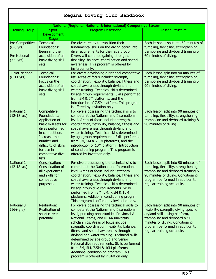|                                                                      |                                                                                                                                                                                                               | Regina Diving Club Handbook                                                                                                                                                                                                                                                                                                                                                                                                                                                                                                                                                       |                                                                                                                                                                                                                                                       |
|----------------------------------------------------------------------|---------------------------------------------------------------------------------------------------------------------------------------------------------------------------------------------------------------|-----------------------------------------------------------------------------------------------------------------------------------------------------------------------------------------------------------------------------------------------------------------------------------------------------------------------------------------------------------------------------------------------------------------------------------------------------------------------------------------------------------------------------------------------------------------------------------|-------------------------------------------------------------------------------------------------------------------------------------------------------------------------------------------------------------------------------------------------------|
|                                                                      |                                                                                                                                                                                                               | National (Regional, National & International) Competitive Stream                                                                                                                                                                                                                                                                                                                                                                                                                                                                                                                  |                                                                                                                                                                                                                                                       |
| <b>Training Group</b>                                                | Sport<br><b>Development</b><br><b>Stage</b>                                                                                                                                                                   | <b>Program Description</b>                                                                                                                                                                                                                                                                                                                                                                                                                                                                                                                                                        | Lesson Structure                                                                                                                                                                                                                                      |
| Pre-Competitive<br>$(6-8$ yrs)<br><b>Pre National</b><br>$(7-9$ yrs) | <b>Technical</b><br>Foundations:<br>Beginning the<br>acquisition of all<br>basic diving skill<br>sets.                                                                                                        | For divers ready to transition their<br>fundamental skills on the diving board into<br>dive requirements for their age group.<br>Divers will continue gaining strength,<br>flexibility, balance, coordination and spatial<br>awareness. This program is offered by<br>invitation only.                                                                                                                                                                                                                                                                                            | Each lesson is split into 60 minutes of<br>tumbling, flexibility, strengthening,<br>trampoline and dryboard training &<br>60 minutes of diving.                                                                                                       |
| <b>Junior National</b><br>$(8-11 \text{ yrs})$                       | <b>Technical</b><br>Foundations:<br>Focus on the<br>acquisition of all<br>basic diving skill<br>sets.                                                                                                         | For divers developing a National competitive<br>list. Areas of focus include: strength,<br>coordination, flexibility, balance, fitness and<br>spatial awareness through dryland and<br>water training. Technical skills determined<br>by age group requirements. Skills performed<br>from 3M & 5M platforms, and the<br>introduction of 7.5M platform. This program<br>is offered by invitation only.                                                                                                                                                                             | Each lesson split into 90 minutes of<br>tumbling, flexibility, strengthening,<br>trampoline and dryboard training &<br>90 minutes of diving.                                                                                                          |
| National 1<br>$(12-18 \text{ yrs})$                                  | Competitive<br>Foundations:<br>Application of<br>basic skill sets for<br>dives performed<br>in competition.<br>Increase the<br>number and<br>difficulty of skills<br>for use in<br>competitive dive<br>lists. | For divers possessing the technical sills to<br>compete at the National and International<br>level. Areas of focus include: strength,<br>coordination, flexibility, balance, fitness and<br>spatial awareness through dryland and<br>water training. Technical skills determined<br>by age group requirements. Skills performed<br>from 3M, 5M & 7.5M platforms, and the<br>introduction of 10M platform. Introduction<br>of conditioning program. This program is<br>offered by invitation only.                                                                                 | Each lesson split into 90 minutes of<br>tumbling, flexibility, strengthening,<br>trampoline and dryboard training &<br>90 minutes of diving.                                                                                                          |
| <b>National 2</b><br>$(12-18 \text{ yrs})$                           | Consolidation:<br>Consolidation of<br>all experiences<br>and skills for<br>competitive<br>purposes.                                                                                                           | For divers possessing the technical sills to<br>compete at the National and International<br>level. Areas of focus include: strength,<br>coordination, flexibility, balance, fitness and<br>spatial awareness through dryland and<br>water training. Technical skills determined<br>by age group dive requirements. Skills<br>performed from 3M, 5M, 7.5M & 10M<br>platforms. Additional conditioning program.<br>This program is offered by invitation only.                                                                                                                     | Each lesson split into 90 minutes of<br>tumbling, flexibility, strengthening,<br>trampoline and dryboard training &<br>90 minutes of diving. Conditioning<br>program performed in addition to<br>regular training schedule.                           |
| <b>National 3</b><br>$(16 + yrs)$                                    | <b>Realization:</b><br>Realization of<br>sport career<br>potential.                                                                                                                                           | For divers possessing the technical skills to<br>compete at the National and International<br>level, pursuing opportunities Provincial &<br>National Teams, and NCAA university<br>scholarships. Areas of focus include:<br>strength, coordination, flexibility, balance,<br>fitness and spatial awareness through<br>dryland and water training. Technical skills<br>determined by age group and Senior<br>National dive requirements. Skills performed<br>from 3M, 5M, 7.5M & 10M platforms.<br>Additional conditioning program. This<br>program is offered by invitation only. | Each lesson split into 90 minutes of<br>flexibility, strength, diving specific<br>dryland skills using platform,<br>trampoline and dryboard & 90<br>minutes of diving. Conditioning<br>program performed in addition to<br>regular training schedule. |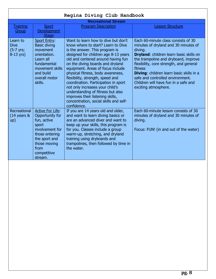|                                                     |                                                                                                                                                                            | <b>Recreational Stream</b>                                                                                                                                                                                                                                                                                                                                                                                                                                                                                                                |                                                                                                                                                                                                                                                                                                                                                                                               |
|-----------------------------------------------------|----------------------------------------------------------------------------------------------------------------------------------------------------------------------------|-------------------------------------------------------------------------------------------------------------------------------------------------------------------------------------------------------------------------------------------------------------------------------------------------------------------------------------------------------------------------------------------------------------------------------------------------------------------------------------------------------------------------------------------|-----------------------------------------------------------------------------------------------------------------------------------------------------------------------------------------------------------------------------------------------------------------------------------------------------------------------------------------------------------------------------------------------|
| <b>Training</b>                                     | <b>Sport</b>                                                                                                                                                               | <b>Program Description</b>                                                                                                                                                                                                                                                                                                                                                                                                                                                                                                                | <b>Lesson Structure</b>                                                                                                                                                                                                                                                                                                                                                                       |
| Group                                               | <b>Development</b>                                                                                                                                                         |                                                                                                                                                                                                                                                                                                                                                                                                                                                                                                                                           |                                                                                                                                                                                                                                                                                                                                                                                               |
|                                                     | <b>Stage</b>                                                                                                                                                               |                                                                                                                                                                                                                                                                                                                                                                                                                                                                                                                                           |                                                                                                                                                                                                                                                                                                                                                                                               |
| Learn to<br><b>Dive</b><br>(5-7 yrs;<br>$8-13$ yrs) | <b>Sport Entry:</b><br><b>Basic diving</b><br>movement<br>orientation.<br>Learn all<br>fundamental<br>movement skills<br>and build<br>overall motor<br>skills.             | Want to learn how to dive but don't<br>know where to start? Learn to Dive<br>is the answer. This program is<br>designed for children age 8-13 years<br>old and centered around having fun<br>on the diving boards and dryland<br>equipment. Areas of focus include<br>physical fitness, body awareness,<br>flexibility, strength, speed and<br>coordination. Participation in sport<br>not only increases your child's<br>understanding of fitness but also<br>improves their listening skills,<br>concentration, social skills and self- | Each 60-minute class consists of 30<br>minutes of dryland and 30 minutes of<br>diving.<br><b>Dryland:</b> children learn basic skills on<br>the trampoline and dryboard, improve<br>flexibility, core strength, and general<br>fitness<br><b>Diving:</b> children learn basic skills in a<br>safe and controlled environment.<br>Children will have fun in a safe and<br>exciting atmosphere. |
| Recreational<br>$(14 \text{ years } 8$<br>up)       | <b>Active For Life:</b><br>Opportunity for<br>fun, active<br>sport<br>involvement for<br>those entering<br>the sport and<br>those moving<br>from<br>competitive<br>stream. | confidence.<br>If you are 14 years old and older,<br>and want to learn diving basics or<br>are an advanced diver and want to<br>keep up your skills, this program is<br>for you. Classes include a group<br>warm-up, stretching, and dryland<br>training using dryboards and<br>trampolines, then followed by time in<br>the water.                                                                                                                                                                                                       | Each 60-minute lesson consists of 30<br>minutes of dryland and 30 minutes of<br>diving.<br>Focus: FUN! (in and out of the water)                                                                                                                                                                                                                                                              |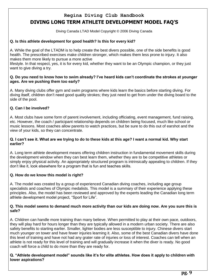# **Regina Diving Club Handbook DIVING LONG TERM ATHLETE DEVELOPMENT MODEL FAQ'S**

Diving Canada LTAD Model Copyright © 2006 Diving Canada

#### <span id="page-8-0"></span>**Q. Is this athlete development for good health? Is this for every kid?**

A. While the goal of the LTADM is to help create the best divers possible, one of the side benefits is good health. The prescribed exercises make children stronger, which makes them less prone to injury. It also makes them more likely to pursue a more active

lifestyle. In that respect, yes, it is for every kid, whether they want to be an Olympic champion, or they just want to give diving a try.

#### **Q. Do you need to know how to swim already? I've heard kids can't coordinate the strokes at younger ages. Are we pushing them too early?**

A. Many diving clubs offer gym and swim programs where kids learn the basics before starting diving. For diving itself, children don't need good quality strokes; they just need to get from under the diving board to the side of the pool.

### **Q. Can I be involved?**

A. Most clubs have some form of parent involvement, including officiating, event management, fund raising, etc. However, the coach / participant relationship depends on children being focused, much like school or music lessons. Most coaches allow parents to watch practices, but be sure to do this out of earshot and the view of your kids, so they can concentrate.

#### **Q. I can't see it. What are we trying to do to these kids at this age? I want a normal kid. Why start earlier?**

A. Long term athlete development means offering children instruction in fundamental movement skills during the development window when they can best learn them, whether they are to be competitive athletes or simply enjoy physical activity. An appropriately structured program is intrinsically appealing to children. If they don't like it, look elsewhere for a program that is fun and teaches skills.

### **Q. How do we know this model is right?**

A. The model was created by a group of experienced Canadian diving coaches, including age group specialists and coaches of Olympic medalists. This model is a summary of their experience applying these principles. Also, the model has been reviewed and approved by the experts leading the Canadian long term athlete development model project, "Sport for Life".

#### **Q. This model seems to demand much more activity than our kids are doing now. Are you sure this is safe?**

A. Children can handle more training than many believe. When permitted to play at their own pace, outdoors, they will play hard for hours longer than they are typically allowed in a modern urban society. There are also safety benefits to starting earlier. Smaller, lighter bodies are less susceptible to injury. Chinese divers start much younger on tower and have fewer injuries learning it. Also, some of the best Canadian divers have done this level of training and have not had any grater rate of injuries or loss of interest. Coaches can tell when an athlete is not ready for this level of training and will gradually increase it when the diver is ready. No good coach will force a child to do more than they are ready for.

#### **Q. "Athlete development model" sounds like it's for elite athletes. How does it apply to children with lower aspirations?**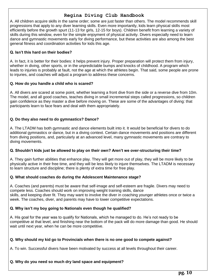A. All children acquire skills in the same order; some are just faster than others. The model recommends skill progressions that apply to any diver learning skills. Even more importantly, kids learn physical skills most efficiently before the growth spurt (11-13 for girls, 12-15 for boys). Children benefit from learning a variety of skills during this window, even for the simple enjoyment of physical activity. Divers especially need to learn dance and gymnastic movements early for diving performance, but these activities are also among the best general fitness and coordination activities for kids this age.

### **Q. Isn't this hard on their bodies?**

A. In fact, it is better for their bodies: it helps prevent injury. Proper preparation will protect them from injury, whether in diving, other sports, or in the unpredictable bumps and knocks of childhood. A program which leads to injuries is probably at fault, not the age at which the athletes begin. That said, some people are prone to injuries, and coaches will adjust a program to address these concerns.

### **Q. How do you handle a child who is scared?**

A. All divers are scared at some point, whether learning a front dive from the side or a reverse dive from 10m. The model, and all good coaches, teaches diving in small incremental steps called progressions, so children gain confidence as they master a dive before moving on. These are some of the advantages of diving: that participants learn to face fears and deal with them appropriately.

## **Q. Do they also need to do gymnastics? Dance?**

A. The LTADM has both gymnastic and dance elements built into it. It would be beneficial for divers to do additional gymnastics or dance, but in a diving context. Certain dance movements and positions are different from diving positions, and, particularly at an advanced level, many gymnastic movements are contrary to diving movements.

### **Q. Shouldn't kids just be allowed to play on their own? Aren't we over-structuring their time?**

A. They gain further abilities that enhance play. They will get more out of play, they will be more likely to be physically active in their free time, and they will be less likely to injure themselves. The LTADM is necessary to learn structure and discipline; there is plenty of extra time for free play.

### **Q. What should coaches do during the Adolescent Maintenance stage?**

A. Coaches (and parents) must be aware that self-image and self-esteem are fragile. Divers may need to compete less. Coaches should work on improving weight training skills, dance skills, and keeping diver fit. They may want to involve the diver in coaching younger athletes once or twice a week. The coaches, diver, and parents may have to lower competitive expectations.

## **Q. Why isn't my boy going to Nationals even though he qualified?**

A. His goal for the year was to qualify for Nationals, which he managed to do. He's not ready to be competitive at that level, and finishing near the bottom of the pack will do more damage than good. He should wait until next year, when he can be more competitive.

## **Q. Why should my kid go to Provincials when there is no one good to compete against?**

A. To win. Successful divers have been motivated by success at all levels throughout their career.

## **Q. Why do you need so much dry land space and equipment?**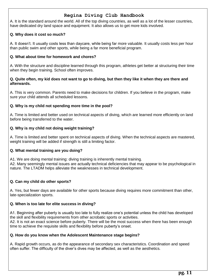A. It is the standard around the world. All of the top diving countries, as well as a lot of the lesser countries, have dedicated dry land space and equipment. It also allows us to get more kids involved.

## **Q. Why does it cost so much?**

A. It doesn't. It usually costs less than daycare, while being far more valuable. It usually costs less per hour than public swim and other sports, while being a far more beneficial program.

### **Q. What about time for homework and chores?**

A. With the structure and discipline learned through this program, athletes get better at structuring their time when they begin training. School often improves.

#### **Q. Quite often, my kid does not want to go to diving, but then they like it when they are there and afterwards.**

A. This is very common. Parents need to make decisions for children. If you believe in the program, make sure your child attends all scheduled lessons.

### **Q. Why is my child not spending more time in the pool?**

A. Time is limited and better used on technical aspects of diving, which are learned more efficiently on land before being transferred to the water.

### **Q. Why is my child not doing weight training?**

A. Time is limited and better spent on technical aspects of diving. When the technical aspects are mastered, weight training will be added if strength is still a limiting factor.

### **Q. What mental training are you doing?**

A1. We are doing mental training: diving training is inherently mental training. A2. Many seemingly mental issues are actually technical deficiencies that may appear to be psychological in nature. The LTADM helps alleviate the weaknesses in technical development.

## **Q. Can my child do other sports?**

A. Yes, but fewer days are available for other sports because diving requires more commitment than other, late-specialization sports.

### **Q. When is too late for elite success in diving?**

A1. Beginning after puberty is usually too late to fully realize one's potential unless the child has developed the skill and flexibility requirements from other acrobatic sports or activities. A2. It is not an exact science before puberty. There will be the most success when there has been enough time to achieve the requisite skills and flexibility before puberty's onset.

### **Q. How do you know when the Adolescent Maintenance stage begins?**

A. Rapid growth occurs, as do the appearance of secondary sex characteristics. Coordination and speed often suffer. The difficulty of the diver's dives may be affected, as well as the aesthetics.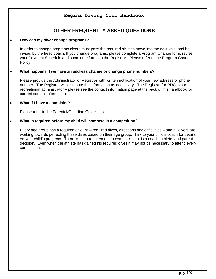# **OTHER FREQUENTLY ASKED QUESTIONS**

#### <span id="page-11-0"></span>**How can my diver change programs?**

In order to change programs divers must pass the required skills to move into the next level and be invited by the head coach. If you change programs, please complete a Program Change form, revise your Payment Schedule and submit the forms to the Registrar. Please refer to the Program Change Policy.

### **What happens if we have an address change or change phone numbers?**

Please provide the Administrator or Registrar with written notification of your new address or phone number. The Registrar will distribute the information as necessary. The Registrar for RDC is our recreational administrator – please see the contact information page at the back of this handbook for current contact information.

### **What if I have a complaint?**

Please refer to the Parental/Guardian Guidelines.

### **What is required before my child will compete in a competition?**

Every age group has a required dive list – required dives, directions and difficulties – and all divers are working towards perfecting these dives based on their age group. Talk to your child's coach for details on your child's progress. There is not a requirement to compete - that is a coach, athlete, and parent decision. Even when the athlete has gained his required dives it may not be necessary to attend every competition.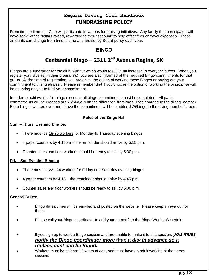# **Regina Diving Club Handbook FUNDRAISING POLICY**

<span id="page-12-1"></span><span id="page-12-0"></span>From time to time, the Club will participate in various fundraising initiatives. Any family that participates will have some of the dollars raised, rewarded to their "account" to help offset fees or travel expenses. These amounts can change from time to time and are set by Board policy each year.

# **BINGO**

# **Centennial Bingo – 2311 2nd Avenue Regina, SK**

Bingos are a fundraiser for the club, without which would result in an increase in everyone's fees. When you register your diver(s) in their program(s), you are also informed of the required Bingo commitments for that group. At the time of registration, you are given the option of working these Bingos or paying out your commitment to this fundraiser. Please remember that if you choose the option of working the bingos, we will be counting on you to fulfil your commitment.

In order to achieve the full bingo discount, all bingo commitments must be completed. All partial commitments will be credited at \$75/bingo, with the difference from the full fee charged to the diving member. Extra bingos worked over and above the commitment will be credited \$75/bingo to the diving member's fees.

## **Rules of the Bingo Hall**

## <span id="page-12-2"></span>**Sun. – Thurs. Evening Bingos:**

- There must be 18-20 workers for Monday to Thursday evening bingos.
- 4 paper counters by 4:15pm the remainder should arrive by 5:15 p.m.
- Counter sales and floor workers should be ready to sell by 5:30 p.m.

## **Fri. – Sat. Evening Bingos:**

- There must be 22 24 workers for Friday and Saturday evening bingos.
- 4 paper counters by 4:15 the remainder should arrive by 4:45 p.m.
- Counter sales and floor workers should be ready to sell by 5:00 p.m.

### **General Rules:**

- Bingo dates/times will be emailed and posted on the website. Please keep an eye out for them.
- Please call your Bingo coordinator to add your name(s) to the Bingo Worker Schedule
- If you sign up to work a Bingo session and are unable to make it to that session, *you must notify the Bingo coordinator more than a day in advance so a replacement can be found.*
- Workers must be at least 12 years of age, and must have an adult working at the same session.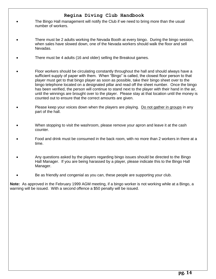- The Bingo Hall management will notify the Club if we need to bring more than the usual number of workers.
- There must be 2 adults working the Nevada Booth at every bingo. During the bingo session, when sales have slowed down, one of the Nevada workers should walk the floor and sell Nevadas.
- There must be 4 adults (16 and older) selling the Breakout games.
- Floor workers should be circulating constantly throughout the hall and should always have a sufficient supply of paper with them. When "Bingo" is called, the closest floor person to that player must get to that bingo player as soon as possible, take their bingo sheet over to the bingo telephone located on a designated pillar and read off the sheet number. Once the bingo has been verified, the person will continue to stand next to the player with their hand in the air, until the winnings are brought over to the player. Please stay at that location until the money is counted out to ensure that the correct amounts are given.
- Please keep your voices down when the players are playing. Do not gather in groups in any part of the hall.
- When stopping to visit the washroom, please remove your apron and leave it at the cash counter.
- Food and drink must be consumed in the back room, with no more than 2 workers in there at a time.
- Any questions asked by the players regarding bingo issues should be directed to the Bingo Hall Manager. If you are being harassed by a player, please indicate this to the Bingo Hall Manager.
- Be as friendly and congenial as you can, these people are supporting your club.

**Note:** As approved in the February 1999 AGM meeting, if a bingo worker is not working while at a Bingo, a warning will be issued. With a second offence a \$50 penalty will be issued.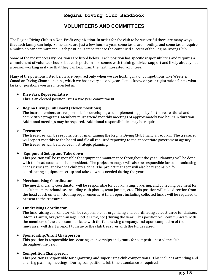# **VOLUNTEERS AND COMMITTEES**

<span id="page-14-0"></span>The Regina Diving Club is a Non-Profit organization. In order for the club to be successful there are many ways that each family can help. Some tasks are just a few hours a year, some tasks are monthly, and some tasks require a multiple year commitment. Each position is important to the continued success of the Regina Diving Club.

Some of the most necessary positions are listed below. Each position has specific responsibilities and requires a commitment of volunteer hours, but each position also comes with training, advice, support and likely already has a person working in it - so that they can help train the next interested volunteer.

Many of the positions listed below are required only when we are hosting major competitions, like Western Canadian Diving Championships, which we host every second year. Let us know on your registration forms what tasks or positions you are interested in.

#### **Dive Sask Representative**

This is an elected position. It is a two year commitment.

#### **Regina Diving Club Board (Eleven positions)**

The board members are responsible for developing and implementing policy for the recreational and competitive programs. Members must attend monthly meetings of approximately two hours in duration. Additional meetings may be required. Additional responsibilities may be required.

#### **Treasurer**

The treasurer will be responsible for maintaining the Regina Diving Club financial records. The treasurer will report monthly to the board and file all required reporting to the appropriate government agency. The treasurer will be involved in strategic planning.

#### **Equipment Set up and Take down**

This position will be responsible for equipment maintenance throughout the year. Planning will be done with the head coach and club president. The project manager will also be responsible for communicating needs/issues to landlord via club president. The project manager will also be responsible for coordinating equipment set-up and take-down as needed during the year.

#### **Merchandising Coordinator**

The merchandising coordinator will be responsible for coordinating, ordering, and collecting payment for all club team merchandise, including club photos, team jackets, etc. This position will take direction from the head coach on team clothing requirements. A final report including collected funds will be required to present to the treasurer.

#### **Fundraising Coordinator**

The fundraising coordinator will be responsible for organizing and coordinating at least three fundraisers (Mom's Pantry, Grayson Sausage, Bottle Drive, etc.) during the year. This position will communicate with the members of the club, communicate with the fundraising company, and upon completion of the fundraiser will draft a report to issue to the club treasurer with the funds raised.

#### **Sponsorship/Grant Chairperson**

This position is responsible for securing sponsorships and grants for competitions and the club throughout the year.

#### **Competition Chairperson**

This position is responsible for organizing and supervising club competitions. This includes attending and chairing planning meetings. During competitions, full time attendance is required.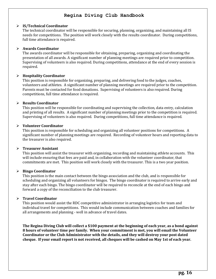#### **IS/Technical Coordinator**

The technical coordinator will be responsible for securing, planning, organizing, and maintaining all IS needs for competitions. The position will work closely with the results coordinator. During competitions, full time attendance is required.

#### **Awards Coordinator**

The awards coordinator will be responsible for obtaining, preparing, organizing and coordinating the presentation of all awards. A significant number of planning meetings are required prior to competition. Supervising of volunteers is also required. During competitions, attendance at the end of every session is required.

#### **Hospitality Coordinator**

This position is responsible for organizing, preparing, and delivering food to the judges, coaches, volunteers and athletes. A significant number of planning meetings are required prior to the competition. Parents must be contacted for food donations. Supervising of volunteers is also required. During competitions, full time attendance is required.

#### **Results Coordinator**

This position will be responsible for coordinating and supervising the collection, data entry, calculation and printing of all results. A significant number of planning meetings prior to the competition is required. Supervising of volunteers is also required. During competitions, full time attendance is required.

#### **Volunteer Coordinator**

This position is responsible for scheduling and organizing all volunteer positions for competitions. A significant number of planning meetings are required. Recording of volunteer hours and reporting data to the treasurer is also required.

#### **Treasurer Assistant**

This position will assist the treasurer with organizing, recording and maintaining athlete accounts. This will include ensuring that fees are paid and, in collaboration with the volunteer coordinator, that commitments are met. This position will work closely with the treasurer. This is a two year position.

#### **Bingo Coordinator**

This position is the main contact between the bingo association and the club, and is responsible for scheduling and organizing all volunteers for bingos. The bingo coordinator is required to arrive early and stay after each bingo. The bingo coordinator will be required to reconcile at the end of each bingo and forward a copy of the reconciliation to the club treasurer.

#### **Travel Coordinator**

This position would assist the RDC competitive administrator in arranging logistics for team and individual travel for competitions. This would include communication between coaches and families for all arrangements and planning - well in advance of travel dates.

**The Regina Diving Club will collect a \$100 payment at the beginning of each year, as a bond against 8 hours of volunteer time per family. When your commitment is met, you will email the Volunteer Coordinator or the Club Administrator with the details, and they will destroy your post dated cheque. If your email report is not received, all cheques will be cashed on May 1st of each year.**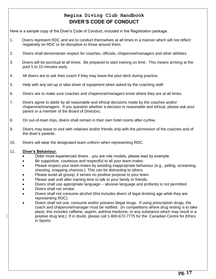# **Regina Diving Club Handbook DIVER'S CODE OF CONDUCT**

<span id="page-16-0"></span>Here is a sample copy of the Diver's Code of Conduct, included in the Registration package.

- 1. Divers represent RDC and are to conduct themselves at all times in a manner which will not reflect negatively on RDC or be disruptive to those around them.
- 2. Divers shall demonstrate respect for coaches, officials, chaperone/managers and other athletes.
- 3. Divers will be punctual at all times. Be prepared to start training on time. This means arriving at the pool 5 to 10 minutes early.
- 4. All divers are to ask their coach if they may leave the pool deck during practice.
- 5. Help with any set-up or take down of equipment when asked by the coaching staff.
- 6. Divers are to make sure coaches and chaperone/managers know where they are at all times.
- 7. Divers agree to abide by all reasonable and ethical decisions made by the coaches and/or chaperone/managers. If you question whether a decision is reasonable and ethical, please ask your parent or a member of the Board of Directors.
- 8. On out-of-town trips, divers shall remain in their own hotel rooms after curfew.
- 9. Divers may leave to visit with relatives and/or friends only with the permission of the coaches and of the diver's parents.
- 10. Divers will wear the designated team uniform when representing RDC.

#### 11. **Diver's Behaviour**:

- Older more experienced divers…you are role models, please lead by example.
- Be supportive, courteous and respectful to all your team-mates.
- Please respect your team-mates by avoiding inappropriate behaviour (e.g., yelling, screaming, shouting, snapping chamois.) This can be distracting to others.
- Please avoid all gossip; it serves no positive purpose to your team.
- Please wait until after training time to talk to your family or friends.
- Divers shall use appropriate language -- abusive language and profanity is not permitted.
- Divers shall not smoke.
- Divers shall not consume alcohol (this includes divers of legal drinking age while they are representing RDC).
- Divers shall not use, consume and/or possess illegal drugs. If using prescription drugs, the coach and chaperone/manager must be notified. (In competitions where drug testing is to take place, this includes caffeine, aspirin, asthma medicine, or any substance which may result in a positive drug test.) If in doubt, please call 1-800-672-7775 for the Canadian Centre for Ethics in Sports.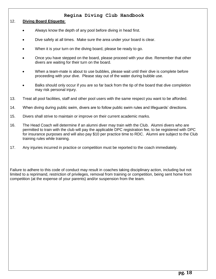#### 12. **Diving Board Etiquette**:

- Always know the depth of any pool before diving in head first.
- Dive safely at all times. Make sure the area under your board is clear.
- When it is your turn on the diving board, please be ready to go.
- Once you have stepped on the board, please proceed with your dive. Remember that other divers are waiting for their turn on the board.
- When a team-mate is about to use bubbles, please wait until their dive is complete before proceeding with your dive. Please stay out of the water during bubble use.
- Balks should only occur if you are so far back from the tip of the board that dive completion may risk personal injury.
- 13. Treat all pool facilities, staff and other pool users with the same respect you want to be afforded.
- 14. When diving during public swim, divers are to follow public swim rules and lifeguards' directions.
- 15. Divers shall strive to maintain or improve on their current academic marks.
- 16. The Head Coach will determine if an alumni diver may train with the Club. Alumni divers who are permitted to train with the club will pay the applicable DPC registration fee, to be registered with DPC for insurance purposes and will also pay \$10 per practice time to RDC. Alumni are subject to the Club training rules while training.
- 17. Any injuries incurred in practice or competition must be reported to the coach immediately.

Failure to adhere to this code of conduct may result in coaches taking disciplinary action, including but not limited to a reprimand, restriction of privileges, removal from training or competition, being sent home from competition (at the expense of your parents) and/or suspension from the team.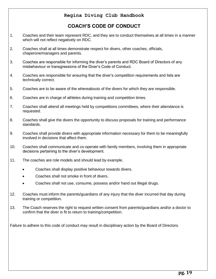# **COACH'S CODE OF CONDUCT**

- <span id="page-18-0"></span>1. Coaches and their team represent RDC, and they are to conduct themselves at all times in a manner which will not reflect negatively on RDC.
- 2. Coaches shall at all times demonstrate respect for divers, other coaches, officials, chaperone/managers and parents.
- 3. Coaches are responsible for informing the diver's parents and RDC Board of Directors of any misbehaviour or transgressions of the Diver's Code of Conduct.
- 4. Coaches are responsible for ensuring that the diver's competition requirements and lists are technically correct.
- 5. Coaches are to be aware of the whereabouts of the divers for which they are responsible.
- 6. Coaches are in charge of athletes during training and competition times.
- 7. Coaches shall attend all meetings held by competitions committees, where their attendance is requested.
- 8. Coaches shall give the divers the opportunity to discuss proposals for training and performance standards.
- 9. Coaches shall provide divers with appropriate information necessary for them to be meaningfully involved in decisions that affect them.
- 10. Coaches shall communicate and co-operate with family members, involving them in appropriate decisions pertaining to the diver's development.
- 11. The coaches are role models and should lead by example.
	- Coaches shall display positive behaviour towards divers.
	- Coaches shall not smoke in front of divers.
	- Coaches shall not use, consume, possess and/or hand out illegal drugs.
- 12. Coaches must inform the parents/guardians of any injury that the diver incurred that day during training or competition.
- 13. The Coach reserves the right to request written consent from parents/guardians and/or a doctor to confirm that the diver is fit to return to training/competition.

Failure to adhere to this code of conduct may result in disciplinary action by the Board of Directors.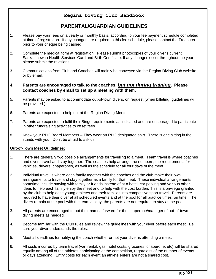# **PARENTAL/GUARDIAN GUIDELINES**

- <span id="page-19-0"></span>1. Please pay your fees on a yearly or monthly basis, according to your fee payment schedule completed at time of registration. If any changes are required to this fee schedule, please contact the Treasurer prior to your cheque being cashed.
- 2. Complete the medical form at registration. Please submit photocopies of your diver's current Saskatchewan Health Services Card and Birth Certificate. If any changes occur throughout the year, please submit the revisions.
- 3. Communications from Club and Coaches will mainly be conveyed via the Regina Diving Club website or by email.
- **4. Parents are encouraged to talk to the coaches,** *but not during training***. Please contact coaches by email to set up a meeting with them.**
- 5. Parents may be asked to accommodate out-of-town divers, on request (when billeting, guidelines will be provided.)
- 6. Parents are expected to help out at the Regina Diving Meets.
- 7. Parents are expected to fulfil their Bingo requirements as indicated and are encouraged to participate in other fundraising activities to offset fees.
- 8. Know your RDC Board Members They wear an RDC designated shirt. There is one sitting in the stands with you. Don't be afraid to ask us!!

### **Out-of-Town Meet Guidelines:**

- 1. There are generally two possible arrangements for travelling to a meet. Team travel is where coaches and divers travel and stay together. The coaches help arrange the numbers, the requirements for vehicles, drivers, chaperones, as well as the schedule for all four days of the meet.
- 2. Individual travel is where each family together with the coaches and the club make their own arrangements to travel and stay together as a family for that meet. These individual arrangements sometime include staying with family or friends instead of at a hotel, car pooling and various other ideas to help each family enjoy the meet and to help with the cost burden. This is a privilege granted by the club to help ease young athletes and their families into competitive sport travel. Parents are required to have their diver at all scheduled events and at the pool for all practice times, on time. The divers remain at the pool with the team all day; the parents are not required to stay at the pool.
- 3. All parents are encouraged to put their names forward for the chaperone/manager of out-of-town diving meets as needed.
- 4. Become familiar with the Club rules and review the guidelines with your diver before each meet. Be sure your diver understands the rules.
- 5. Meet all deadlines for notifying the coach whether or not your diver is attending a meet.
- 6. All costs incurred by team travel (van rental, gas, hotel costs, groceries, chaperone, etc) will be shared equally among all of the athletes participating at the competition, regardless of the number of events or days attending. Entry costs for each event an athlete enters are not a shared cost.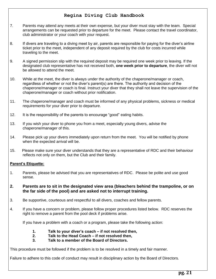- 7. Parents may attend any meets at their own expense, but your diver must stay with the team. Special arrangements can be requested prior to departure for the meet. Please contact the travel coordinator, club administrator or your coach with your request.
- 8. If divers are traveling to a diving meet by air, parents are responsible for paying for the diver's airline ticket prior to the meet, independent of any deposit required by the club for costs incurred while traveling to the meet.
- 9. A signed permission slip with the required deposit may be required one week prior to leaving. If the designated club representative has not received both, **one week prior to departure**, the diver will not be allowed to attend the meet.
- 10. While at the meet, the diver is always under the authority of the chaperone/manager or coach, regardless of whether or not the diver's parent(s) are there. The authority and decision of the chaperone/manager or coach is final. Instruct your diver that they shall not leave the supervision of the chaperone/manager or coach without prior notification.
- 11. The chaperone/manager and coach must be informed of any physical problems, sickness or medical requirements for your diver prior to departure.
- 12. It is the responsibility of the parents to encourage "good" eating habits.
- 13. If you wish your diver to phone you from a meet, especially young divers, advise the chaperone/manager of this.
- 14. Please pick up your divers immediately upon return from the meet. You will be notified by phone when the expected arrival will be.
- 15. Please make sure your diver understands that they are a representative of RDC and their behaviour reflects not only on them, but the Club and their family.

### **Parent's Etiquette:**

- 1. Parents, please be advised that you are representatives of RDC. Please be polite and use good sense.
- **2. Parents are to sit in the designated view area (bleachers behind the trampoline, or on the far side of the pool) and are asked not to interrupt training.**
- 3. Be supportive, courteous and respectful to all divers, coaches and fellow parents.
- 4. If you have a concern or problem, please follow proper procedures listed below. RDC reserves the right to remove a parent from the pool deck if problems arise.

If you have a problem with a coach or a program, please take the following action:

- **1. Talk to your diver's coach – if not resolved then,**
- **2. Talk to the Head Coach – if not resolved then,**
- **3. Talk to a member of the Board of Directors.**

This procedure must be followed if the problem is to be resolved in a timely and fair manner.

Failure to adhere to this code of conduct may result in disciplinary action by the Board of Directors.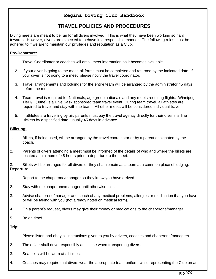# **TRAVEL POLICIES AND PROCEDURES**

<span id="page-21-0"></span>Diving meets are meant to be fun for all divers involved. This is what they have been working so hard towards. However, divers are expected to behave in a responsible manner. The following rules must be adhered to if we are to maintain our privileges and reputation as a Club.

## **Pre-Departure:**

- 1. Travel Coordinator or coaches will email meet information as it becomes available.
- 2. If your diver is going to the meet, all forms must be completed and returned by the indicated date. If your diver is not going to a meet, please notify the travel coordinator.
- 3. Travel arrangements and lodgings for the entire team will be arranged by the administrator 45 days before the meet.
- 4. Team travel is required for Nationals, age group nationals and any meets requiring flights. Winnipeg Tier I/II (June) is a Dive Sask sponsored team travel event. During team travel, all athletes are required to travel and stay with the team. All other meets will be considered individual travel.
- 5. If athletes are travelling by air, parents must pay the travel agency directly for their diver's airline tickets by a specified date, usually 45 days in advance.

## **Billeting:**

- 1. Billets, if being used, will be arranged by the travel coordinator or by a parent designated by the coach.
- 2. Parents of divers attending a meet must be informed of the details of who and where the billets are located a minimum of 48 hours prior to departure to the meet.
- 3. Billets will be arranged for all divers or they shall remain as a team at a common place of lodging. **Departure:**
- 1. Report to the chaperone/manager so they know you have arrived.
- 2. Stay with the chaperone/manager until otherwise told.
- 3. Advise chaperone/manager and coach of any medical problems, allergies or medication that you have or will be taking with you (not already noted on medical form).
- 4. On a parent's request, divers may give their money or medications to the chaperone/manager.
- 5. Be on time!

### **Trip:**

- 1. Please listen and obey all instructions given to you by drivers, coaches and chaperone/managers.
- 2. The driver shall drive responsibly at all time when transporting divers.
- 3. Seatbelts will be worn at all times.
- 4. Coaches may require that divers wear the appropriate team uniform while representing the Club on an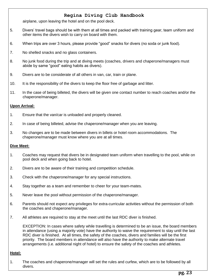airplane, upon leaving the hotel and on the pool deck.

- 5. Divers' travel bags should be with them at all times and packed with training gear, team uniform and other items the divers wish to carry on board with them.
- 6. When trips are over 3 hours, please provide "good" snacks for divers (no soda or junk food).
- 7. No shelled snacks and no glass containers.
- 8. No junk food during the trip and at diving meets (coaches, drivers and chaperone/managers must abide by same "good" eating habits as divers).
- 9. Divers are to be considerate of all others in van, car, train or plane.
- 10. It is the responsibility of the divers to keep the floor free of garbage and litter.
- 11. In the case of being billeted, the divers will be given one contact number to reach coaches and/or the chaperone/manager.

### **Upon Arrival:**

- 1. Ensure that the van/car is unloaded and properly cleaned.
- 2. In case of being billeted, advise the chaperone/manager when you are leaving.
- 3. No changes are to be made between divers in billets or hotel room accommodations. The chaperone/manager must know where you are at all times.

#### **Dive Meet:**

- 1. Coaches may request that divers be in designated team uniform when travelling to the pool, while on pool deck and when going back to hotel.
- 2. Divers are to be aware of their training and competition schedule.
- 3. Check with the chaperone/manager for any special instructions.
- 4. Stay together as a team and remember to cheer for your team-mates.
- 5. Never leave the pool without permission of the chaperone/manager.
- 6. Parents should not expect any privileges for extra-curricular activities without the permission of both the coaches and chaperone/manager.
- 7. All athletes are required to stay at the meet until the last RDC diver is finished.

EXCEPTION: In cases where safety while travelling is determined to be an issue, the board members in attendance (using a majority vote) have the authority to waive the requirement to stay until the last RDC diver is finished. At all times, the safety of the coaches, divers and families will be the first priority. The board members in attendance will also have the authority to make alternate travel arrangements (i.e. additional night of hotel) to ensure the safety of the coaches and athletes.

#### **Hotel:**

1. The coaches and chaperone/manager will set the rules and curfew, which are to be followed by all divers.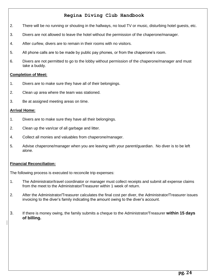- 2. There will be no running or shouting in the hallways, no loud TV or music, disturbing hotel guests, etc.
- 3. Divers are not allowed to leave the hotel without the permission of the chaperone/manager.
- 4. After curfew, divers are to remain in their rooms with no visitors.
- 5. All phone calls are to be made by public pay phones, or from the chaperone's room.
- 6. Divers are not permitted to go to the lobby without permission of the chaperone/manager and must take a buddy.

### **Completion of Meet:**

- 1. Divers are to make sure they have all of their belongings.
- 2. Clean up area where the team was stationed.
- 3. Be at assigned meeting areas on time.

### **Arrival Home:**

- 1. Divers are to make sure they have all their belongings.
- 2. Clean up the van/car of all garbage and litter.
- 4. Collect all monies and valuables from chaperone/manager.
- 5. Advise chaperone/manager when you are leaving with your parent/guardian. No diver is to be left alone.

### **Financial Reconciliation:**

The following process is executed to reconcile trip expenses:

- 1. The Administrator/travel coordinator or manager must collect receipts and submit all expense claims from the meet to the Administrator/Treasurer within 1 week of return.
- 2. After the Administrator/Treasurer calculates the final cost per diver, the Administrator/Treasurer issues invoicing to the diver's family indicating the amount owing to the diver's account.
- 3. If there is money owing, the family submits a cheque to the Administrator/Treasurer **within 15 days of billing.**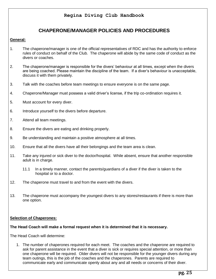# **CHAPERONE/MANAGER POLICIES AND PROCEDURES**

## <span id="page-24-0"></span>**General:**

- 1. The chaperone/manager is one of the official representatives of RDC and has the authority to enforce rules of conduct on behalf of the Club. The chaperone will abide by the same code of conduct as the divers or coaches.
- 2. The chaperone/manager is responsible for the divers' behaviour at all times, except when the divers are being coached. Please maintain the discipline of the team. If a diver's behaviour is unacceptable, discuss it with them privately.
- 3. Talk with the coaches before team meetings to ensure everyone is on the same page.
- 4. Chaperone/Manager must possess a valid driver's license, if the trip co-ordination requires it.
- 5. Must account for every diver.
- 6. Introduce yourself to the divers before departure.
- 7. Attend all team meetings.
- 8. Ensure the divers are eating and drinking properly.
- 9. Be understanding and maintain a positive atmosphere at all times.
- 10. Ensure that all the divers have all their belongings and the team area is clean.
- 11. Take any injured or sick diver to the doctor/hospital. While absent, ensure that another responsible adult is in charge.
	- 11.1 In a timely manner, contact the parents/guardians of a diver if the diver is taken to the hospital or to a doctor.
- 12. The chaperone must travel to and from the event with the divers.
- 13. The chaperone must accompany the youngest divers to any stores/restaurants if there is more than one option.

### **Selection of Chaperones:**

#### **The Head Coach will make a formal request when it is determined that it is necessary.**

The Head Coach will determine:

1. The number of chaperones required for each meet. The coaches and the chaperone are required to ask for parent assistance in the event that a diver is sick or requires special attention, or more than one chaperone will be required. Older divers will not be responsible for the younger divers during any team outings, this is the job of the coaches and the chaperones. Parents are required to communicate early and communicate openly about any and all needs or concerns of their diver.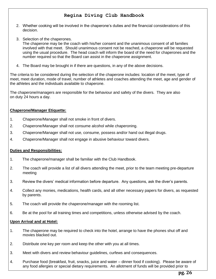- 2. Whether cooking will be involved in the chaperone's duties and the financial considerations of this decision.
- 3. Selection of the chaperones.

The chaperone may be the coach with his/her consent and the unanimous consent of all families involved with that meet. Should unanimous consent not be reached, a chaperone will be requested using the usual procedure. The head coach will inform the board of the need for chaperones and the number required so that the Board can assist in the chaperone assignment.

4. The Board may be brought in if there are questions, in any of the above decisions.

The criteria to be considered during the selection of the chaperone includes: location of the meet, type of meet, meet duration, mode of travel, number of athletes and coaches attending the meet, age and gender of the athletes and the individuals available to chaperone.

The chaperone/managers are responsible for the behaviour and safety of the divers. They are also on duty 24 hours a day.

### **Chaperone/Manager Etiquette:**

- 1. Chaperone/Manager shall not smoke in front of divers.
- 2. Chaperone/Manager shall not consume alcohol while chaperoning.
- 3. Chaperone/Manager shall not use, consume, possess and/or hand out illegal drugs.
- 4. Chaperone/Manager shall not engage in abusive behaviour toward divers.

### **Duties and Responsibilities:**

- 1. The chaperone/manager shall be familiar with the Club Handbook.
- 2. The coach will provide a list of all divers attending the meet, prior to the team meeting pre-departure meeting
- 3. Review the divers' medical information before departure. Any questions, ask the diver's parents.
- 4. Collect any monies, medications, health cards, and all other necessary papers for divers, as requested by parents.
- 5. The coach will provide the chaperone/manager with the rooming list.
- 6. Be at the pool for all training times and competitions, unless otherwise advised by the coach.

#### **Upon Arrival and at Hotel:**

- 1. The chaperone may be required to check into the hotel, arrange to have the phones shut off and movies blacked out.
- 2. Distribute one key per room and keep the other with you at all times.
- 3. Meet with divers and review behaviour guidelines, curfews and consequences.
- 4. Purchase food (breakfast, fruit, snacks, juice and water dinner food if cooking). Please be aware of any food allergies or special dietary requirements. An allotment of funds will be provided prior to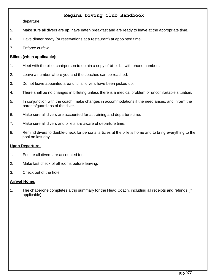departure.

- 5. Make sure all divers are up, have eaten breakfast and are ready to leave at the appropriate time.
- 6. Have dinner ready (or reservations at a restaurant) at appointed time.
- 7. Enforce curfew.

### **Billets (when applicable):**

- 1. Meet with the billet chairperson to obtain a copy of billet list with phone numbers.
- 2. Leave a number where you and the coaches can be reached.
- 3. Do not leave appointed area until all divers have been picked up.
- 4. There shall be no changes in billeting unless there is a medical problem or uncomfortable situation.
- 5. In conjunction with the coach, make changes in accommodations if the need arises, and inform the parents/guardians of the diver.
- 6. Make sure all divers are accounted for at training and departure time.
- 7. Make sure all divers and billets are aware of departure time.
- 8. Remind divers to double-check for personal articles at the billet's home and to bring everything to the pool on last day.

#### **Upon Departure:**

- 1. Ensure all divers are accounted for.
- 2. Make last check of all rooms before leaving.
- 3. Check out of the hotel.

#### **Arrival Home:**

1. The chaperone completes a trip summary for the Head Coach, including all receipts and refunds (if applicable).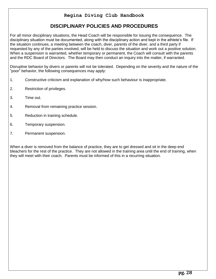# **DISCIPLINARY POLICIES AND PROCEDURES**

<span id="page-27-0"></span>For all minor disciplinary situations, the Head Coach will be responsible for issuing the consequence. The disciplinary situation must be documented, along with the disciplinary action and kept in the athlete's file. If the situation continues, a meeting between the coach, diver, parents of the diver, and a third party if requested by any of the parties involved, will be held to discuss the situation and work out a positive solution. When a suspension is warranted, whether temporary or permanent, the Coach will consult with the parents and the RDC Board of Directors. The Board may then conduct an inquiry into the matter, if warranted.

Disruptive behavior by divers or parents will not be tolerated. Depending on the severity and the nature of the "poor" behavior, the following consequences may apply:

- 1. Constructive criticism and explanation of why/how such behaviour is inappropriate.
- 2. Restriction of privileges.
- 3. Time out.
- 4. Removal from remaining practice session.
- 5. Reduction in training schedule.
- 6. Temporary suspension.
- 7. Permanent suspension.

When a diver is removed from the balance of practice, they are to get dressed and sit in the deep end bleachers for the rest of the practice. They are not allowed in the training area until the end of training, when they will meet with their coach. Parents must be informed of this in a recurring situation.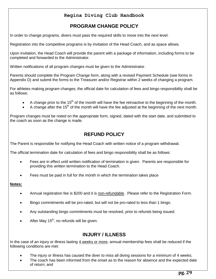# **PROGRAM CHANGE POLICY**

<span id="page-28-0"></span>In order to change programs, divers must pass the required skills to move into the next level.

Registration into the competitive programs is by invitation of the Head Coach, and as space allows.

Upon invitation, the Head Coach will provide the parent with a package of information, including forms to be completed and forwarded to the Administrator.

Written notifications of all program changes must be given to the Administrator.

Parents should complete the Program Change form, along with a revised Payment Schedule (see forms in Appendix D) and submit the forms to the Treasurer and/or Registrar within 2 weeks of changing a program.

For athletes making program changes, the official date for calculation of fees and bingo responsibility shall be as follows:

- A change prior to the 15<sup>th</sup> of the month will have the fee retroactive to the beginning of the month.
- A change after the 15<sup>th</sup> of the month will have the fee adjusted at the beginning of the next month.

<span id="page-28-1"></span>Program changes must be noted on the appropriate form, signed, dated with the start date, and submitted to the coach as soon as the change is made.

# **REFUND POLICY**

The Parent is responsible for notifying the Head Coach with written notice of a program withdrawal.

The official termination date for calculation of fees and bingo responsibility shall be as follows:

- Fees are in effect until written notification of termination is given. Parents are responsible for providing this written termination to the Head Coach.
- Fees must be paid in full for the month in which the termination takes place

### **Notes:**

- Annual registration fee is \$200 and it is non-refundable. Please refer to the Registration Form.
- Bingo commitments will be pro-rated, but will not be pro-rated to less than 1 bingo.
- Any outstanding bingo commitments must be resolved, prior to refunds being issued.
- After May  $15<sup>th</sup>$ , no refunds will be given.

## **INJURY / ILLNESS**

<span id="page-28-2"></span>In the case of an injury or illness lasting 4 weeks or more, annual membership fees shall be reduced if the following conditions are met:

- The injury or illness has caused the diver to miss all diving sessions for a minimum of 4 weeks;
- The coach has been informed from the onset as to the reason for absence and the expected date of return; and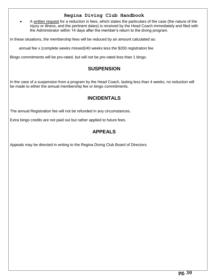A written request for a reduction in fees, which states the particulars of the case (the nature of the injury or illness, and the pertinent dates) is received by the Head Coach immediately and filed with the Administrator within 14 days after the member's return to the diving program.

In these situations, the membership fees will be reduced by an amount calculated as:

annual fee x (complete weeks missed)/40 weeks less the \$200 registration fee

<span id="page-29-0"></span>Bingo commitments will be pro-rated, but will not be pro-rated less than 1 bingo.

## **SUSPENSION**

<span id="page-29-1"></span>In the case of a suspension from a program by the Head Coach, lasting less than 4 weeks, no reduction will be made to either the annual membership fee or bingo commitments.

# **INCIDENTALS**

The annual Registration fee will not be refunded in any circumstances.

<span id="page-29-2"></span>Extra bingo credits are not paid out but rather applied to future fees.

# **APPEALS**

Appeals may be directed in writing to the Regina Diving Club Board of Directors.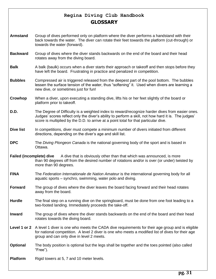# **Regina Diving Club Handbook GLOSSARY**

- <span id="page-30-0"></span>**Armstand** Group of dives performed only on platform where the diver performs a handstand with their back towards the water. The diver can rotate their feet towards the platform (cut-through) or towards the water (forward).
- **Backward** Group of dives where the diver stands backwards on the end of the board and their head rotates away from the diving board.
- **Balk** A balk (baulk) occurs when a diver starts their approach or takeoff and then stops before they have left the board. Frustrating in practice and penalized in competition.
- **Bubbles** Compressed air is triggered released from the deepest part of the pool bottom. The bubbles lessen the surface tension of the water, thus "softening" it. Used when divers are learning a new dive, or sometimes just for fun!
- **Crowhop** When a diver, upon executing a standing dive, lifts his or her feet slightly of the board or platform prior to takeoff.
- **D.D.** The Degree of Difficulty is a weighted index to reward/recognize harder dives from easier ones. Judges' scores reflect only the diver's ability to perform a skill, not how hard it is. The judges' score is multiplied by the D.D. to arrive at a point total for that particular dive.
- **Dive list** In competitions, diver must compete a minimum number of divers initiated from different directions, depending on the diver's age and skill list.
- **DPC** The *Diving Plongeon Canada* is the national governing body of the sport and is based in Ottawa.
- **Failed (incomplete) dive** A dive that is obviously other than that which was announced, is more than 90 degrees off from the desired number of rotations and/or is over (or under) twisted by more than 90 degrees.
- **FINA** The *Federation Internationale de Nation Amateur* is the international governing body for all aquatic sports – synchro, swimming, water polo and diving.
- **Forward** The group of dives where the diver leaves the board facing forward and their head rotates away from the board.
- **Hurdle** The final step on a running dive on the springboard, must be done from one foot leading to a two-footed landing. Immediately proceeds the take-off.
- **Inward** The group of dives where the diver stands backwards on the end of the board and their head rotates towards the diving board.
- **Level 1 or 2** A level 1 diver is one who meets the CADA dive requirements for their age group and is eligible for national competition. A level 2 diver is one who meets a modified list of dives for their age group and can only dive in level 2 meets.
- **Optional** The body position is optional but the legs shall be together and the toes pointed (also called "Free").

**Platform** Rigid towers at 5, 7 and 10 meter levels.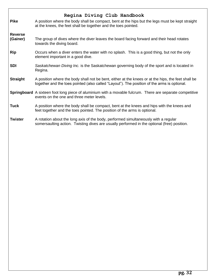# **Regina Diving Club Handbook Pike** A position where the body shall be compact, bent at the hips but the legs must be kept straight at the knees, the feet shall be together and the toes pointed. **Reverse (Gainer)** The group of dives where the diver leaves the board facing forward and their head rotates towards the diving board. **Rip** Occurs when a diver enters the water with no splash. This is a good thing, but not the only element important in a good dive. **SDI** *Saskatchewan Diving Inc.* is the Saskatchewan governing body of the sport and is located in Regina. **Straight** A position where the body shall not be bent, either at the knees or at the hips, the feet shall be together and the toes pointed (also called "Layout"). The position of the arms is optional. **Springboard** A sixteen foot long piece of aluminium with a movable fulcrum. There are separate competitive events on the one and three meter levels. **Tuck** A position where the body shall be compact, bent at the knees and hips with the knees and feet together and the toes pointed. The position of the arms is optional. **Twister** A rotation about the long axis of the body, performed simultaneously with a regular somersaulting action. Twisting dives are usually performed in the optional (free) position.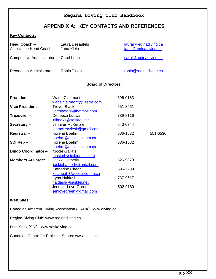# **APPENDIX A: KEY CONTACTS AND REFERENCES**

### <span id="page-32-0"></span>**Key Contacts:**

| Head Coach -<br>Assistance Head Coach - | Laura Desautels<br>Jana Klein                                    | laura@reginadiving.ca<br>jana@reginadiving.ca |          |
|-----------------------------------------|------------------------------------------------------------------|-----------------------------------------------|----------|
| <b>Competitive Administrator</b>        | Carol Lunn                                                       | carol@reginadiving.ca                         |          |
| <b>Recreation Administrator</b>         | Robin Tinani                                                     | robin@reginadiving.ca                         |          |
|                                         | <b>Board of Directors:</b>                                       |                                               |          |
| President-                              | <b>Wade Clairmont</b><br>wade.clairmont@viterra.com              | 596-0183                                      |          |
| <b>Vice President -</b>                 | <b>Trevor Black</b>                                              | 551-8461                                      |          |
| Treasurer-                              | Jettblack70@hotmail.com<br>Deneeca Ludwar<br>niknaks@sasktel.net | 789-8116                                      |          |
| Secretary-                              | Jennifer McKenzie<br>jenmckenziesk@gmail.com                     | 543-0744                                      |          |
| Registrar-                              | Korene Boehm<br>boehm@accesscomm.ca                              | 586-1532                                      | 551-6536 |
| SDI Rep-                                | Korene Boehm<br>boehm@accesscomm.ca                              | 586-1532                                      |          |
| <b>Bingo Coordinator -</b>              | <b>Nicole Gallais</b><br>most.physio@gmail.com                   |                                               |          |
| <b>Members At Large:</b>                | Jackie Hatherly                                                  | 526-9879                                      |          |
|                                         | jackiehatherly@gmail.com<br>Katherine Cheah                      | 596-7239                                      |          |
|                                         | katcheah@accesscomm.ca<br>Iryna Haidash                          | 737-9617                                      |          |
|                                         | haidash@sasktel.net<br>Jennifer Love-Green                       | 502-0189                                      |          |
|                                         | jenlovegreen@gmail.com                                           |                                               |          |

## **Web Sites:**

Canadian Amateur Diving Association (CADA): [www.diving.ca](http://www.diving.ca/)

Regina Diving Club: [www.reginadiving.ca.](http://www.reginadiving.ca/)

Dive Sask (SDI): [www.saskdiving.ca](http://www.saskdiving.ca/)

Canadian Centre for Ethics in Sports: [www.cces.ca](http://www.cces.ca/)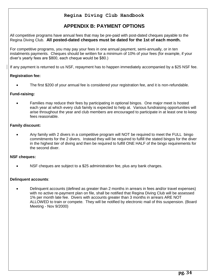# **APPENDIX B: PAYMENT OPTIONS**

<span id="page-33-0"></span>All competitive programs have annual fees that may be pre-paid with post-dated cheques payable to the Regina Diving Club. **All posted-dated cheques must be dated for the 1st of each month.**

For competitive programs, you may pay your fees in one annual payment, semi-annually, or in ten instalments payments. Cheques should be written for a minimum of 10% of your fees (for example, if your diver's yearly fees are \$800, each cheque would be \$80.)

If any payment is returned to us NSF, repayment has to happen immediately accompanied by a \$25 NSF fee.

## **Registration fee:**

The first \$200 of your annual fee is considered your registration fee, and it is non-refundable.

### **Fund-raising:**

 Families may reduce their fees by participating in optional bingos. One major meet is hosted each year at which every club family is expected to help at. Various fundraising opportunities will arise throughout the year and club members are encouraged to participate in at least one to keep fees reasonable.

### **Family discount:**

 Any family with 2 divers in a competitive program will NOT be required to meet the FULL bingo commitments for the 2 divers. Instead they will be required to fulfill the stated bingos for the diver in the highest tier of diving and then be required to fulfill ONE HALF of the bingo requirements for the second diver.

#### **NSF cheques:**

NSF cheques are subject to a \$25 administration fee, plus any bank charges.

#### **Delinquent accounts**:

 Delinquent accounts (defined as greater than 2 months in arrears in fees and/or travel expenses) with no active re-payment plan on file, shall be notified that Regina Diving Club will be assessed 1% per month late fee. Divers with accounts greater than 3 months in arrears ARE NOT ALLOWED to train or compete. They will be notified by electronic mail of this suspension. (Board Meeting - Nov 9/2000)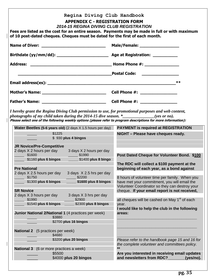<span id="page-34-1"></span><span id="page-34-0"></span>

| Postal Code: <u>_________________</u><br><u> Andreas Andrewski, američki program i predsjednje programati i predsjednje programati i predsjednje programati</u><br>$***$<br>I hereby grant the Regina Diving Club permission to use, for promotional purposes and web content,<br>photographs of my child taken during the 2014-15 dive season. $*$ ______________(yes or no).<br>Please select one of the following weekly options (please refer to program descriptions for more information):<br>Water Beetles (5-6 years old) (2 days X 1.5 hours per day) PAYMENT is required at REGISTRATION<br>\$1225<br>NIGHT - Please have cheques ready.<br>\$930 plus 4 bingos<br><b>JR Novice/Pre-Competitive</b><br>2 days X 2 hours per day<br>3 days X 2 hours per day<br>\$1600<br>\$1990<br>\$1160 plus 6 bingos _______ \$1400 plus 8 bingo<br>The RDC will collect a \$100 payment at the<br><b>Pre National</b><br>beginning of each year, as a bond against<br>2 days X 2.5 hours per day<br>3 days X 2.5 hrs per day<br>\$1750<br>\$2200<br>\$1300 plus 6 bingos<br>\$1600 plus 8 bingos<br>have met your commitment, you will email the<br>cheque. If your email report is not received,<br><b>SR Novice</b><br>2 days X 3 hours per day<br>3 days X 3 hrs per day<br>\$1990<br>all cheques will be cashed on May 1 <sup>st</sup> of each<br>\$2900<br>\$1540 plus 6 bingos<br>\$2300 plus 8 bingos<br>year.<br>I would like to help the club in the following<br>Junior National 2/National 1 (4 practices per week)<br>areas:<br>\$3880<br>\$2700 plus 16 bingos<br><b>National 2</b> (5 practices per week)<br>\$4680<br>\$3200 plus 20 bingos |                                                | Male/Female: ___________________                                                                          |
|----------------------------------------------------------------------------------------------------------------------------------------------------------------------------------------------------------------------------------------------------------------------------------------------------------------------------------------------------------------------------------------------------------------------------------------------------------------------------------------------------------------------------------------------------------------------------------------------------------------------------------------------------------------------------------------------------------------------------------------------------------------------------------------------------------------------------------------------------------------------------------------------------------------------------------------------------------------------------------------------------------------------------------------------------------------------------------------------------------------------------------------------------------------------------------------------------------------------------------------------------------------------------------------------------------------------------------------------------------------------------------------------------------------------------------------------------------------------------------------------------------------------------------------------------------------------------------------------------------------------------------------------------------|------------------------------------------------|-----------------------------------------------------------------------------------------------------------|
|                                                                                                                                                                                                                                                                                                                                                                                                                                                                                                                                                                                                                                                                                                                                                                                                                                                                                                                                                                                                                                                                                                                                                                                                                                                                                                                                                                                                                                                                                                                                                                                                                                                          |                                                |                                                                                                           |
|                                                                                                                                                                                                                                                                                                                                                                                                                                                                                                                                                                                                                                                                                                                                                                                                                                                                                                                                                                                                                                                                                                                                                                                                                                                                                                                                                                                                                                                                                                                                                                                                                                                          |                                                |                                                                                                           |
|                                                                                                                                                                                                                                                                                                                                                                                                                                                                                                                                                                                                                                                                                                                                                                                                                                                                                                                                                                                                                                                                                                                                                                                                                                                                                                                                                                                                                                                                                                                                                                                                                                                          |                                                |                                                                                                           |
|                                                                                                                                                                                                                                                                                                                                                                                                                                                                                                                                                                                                                                                                                                                                                                                                                                                                                                                                                                                                                                                                                                                                                                                                                                                                                                                                                                                                                                                                                                                                                                                                                                                          |                                                |                                                                                                           |
|                                                                                                                                                                                                                                                                                                                                                                                                                                                                                                                                                                                                                                                                                                                                                                                                                                                                                                                                                                                                                                                                                                                                                                                                                                                                                                                                                                                                                                                                                                                                                                                                                                                          |                                                |                                                                                                           |
|                                                                                                                                                                                                                                                                                                                                                                                                                                                                                                                                                                                                                                                                                                                                                                                                                                                                                                                                                                                                                                                                                                                                                                                                                                                                                                                                                                                                                                                                                                                                                                                                                                                          |                                                |                                                                                                           |
|                                                                                                                                                                                                                                                                                                                                                                                                                                                                                                                                                                                                                                                                                                                                                                                                                                                                                                                                                                                                                                                                                                                                                                                                                                                                                                                                                                                                                                                                                                                                                                                                                                                          |                                                |                                                                                                           |
|                                                                                                                                                                                                                                                                                                                                                                                                                                                                                                                                                                                                                                                                                                                                                                                                                                                                                                                                                                                                                                                                                                                                                                                                                                                                                                                                                                                                                                                                                                                                                                                                                                                          |                                                |                                                                                                           |
|                                                                                                                                                                                                                                                                                                                                                                                                                                                                                                                                                                                                                                                                                                                                                                                                                                                                                                                                                                                                                                                                                                                                                                                                                                                                                                                                                                                                                                                                                                                                                                                                                                                          |                                                |                                                                                                           |
|                                                                                                                                                                                                                                                                                                                                                                                                                                                                                                                                                                                                                                                                                                                                                                                                                                                                                                                                                                                                                                                                                                                                                                                                                                                                                                                                                                                                                                                                                                                                                                                                                                                          |                                                |                                                                                                           |
|                                                                                                                                                                                                                                                                                                                                                                                                                                                                                                                                                                                                                                                                                                                                                                                                                                                                                                                                                                                                                                                                                                                                                                                                                                                                                                                                                                                                                                                                                                                                                                                                                                                          |                                                |                                                                                                           |
|                                                                                                                                                                                                                                                                                                                                                                                                                                                                                                                                                                                                                                                                                                                                                                                                                                                                                                                                                                                                                                                                                                                                                                                                                                                                                                                                                                                                                                                                                                                                                                                                                                                          |                                                | Post Dated Cheque for Volunteer Bond. \$100                                                               |
|                                                                                                                                                                                                                                                                                                                                                                                                                                                                                                                                                                                                                                                                                                                                                                                                                                                                                                                                                                                                                                                                                                                                                                                                                                                                                                                                                                                                                                                                                                                                                                                                                                                          |                                                | 8 hours of volunteer time per family. When you                                                            |
|                                                                                                                                                                                                                                                                                                                                                                                                                                                                                                                                                                                                                                                                                                                                                                                                                                                                                                                                                                                                                                                                                                                                                                                                                                                                                                                                                                                                                                                                                                                                                                                                                                                          |                                                |                                                                                                           |
|                                                                                                                                                                                                                                                                                                                                                                                                                                                                                                                                                                                                                                                                                                                                                                                                                                                                                                                                                                                                                                                                                                                                                                                                                                                                                                                                                                                                                                                                                                                                                                                                                                                          |                                                | Volunteer Coordinator so they can destroy your                                                            |
|                                                                                                                                                                                                                                                                                                                                                                                                                                                                                                                                                                                                                                                                                                                                                                                                                                                                                                                                                                                                                                                                                                                                                                                                                                                                                                                                                                                                                                                                                                                                                                                                                                                          |                                                |                                                                                                           |
|                                                                                                                                                                                                                                                                                                                                                                                                                                                                                                                                                                                                                                                                                                                                                                                                                                                                                                                                                                                                                                                                                                                                                                                                                                                                                                                                                                                                                                                                                                                                                                                                                                                          |                                                |                                                                                                           |
|                                                                                                                                                                                                                                                                                                                                                                                                                                                                                                                                                                                                                                                                                                                                                                                                                                                                                                                                                                                                                                                                                                                                                                                                                                                                                                                                                                                                                                                                                                                                                                                                                                                          |                                                |                                                                                                           |
|                                                                                                                                                                                                                                                                                                                                                                                                                                                                                                                                                                                                                                                                                                                                                                                                                                                                                                                                                                                                                                                                                                                                                                                                                                                                                                                                                                                                                                                                                                                                                                                                                                                          |                                                |                                                                                                           |
|                                                                                                                                                                                                                                                                                                                                                                                                                                                                                                                                                                                                                                                                                                                                                                                                                                                                                                                                                                                                                                                                                                                                                                                                                                                                                                                                                                                                                                                                                                                                                                                                                                                          | <b>National 3</b> (6 or more practices a week) | Please refer to the handbook page 15 and 16 for<br>the complete volunteer and committees policy.<br>$***$ |

 $\overline{\phantom{a}}$ 

 $\mathsf{l}$